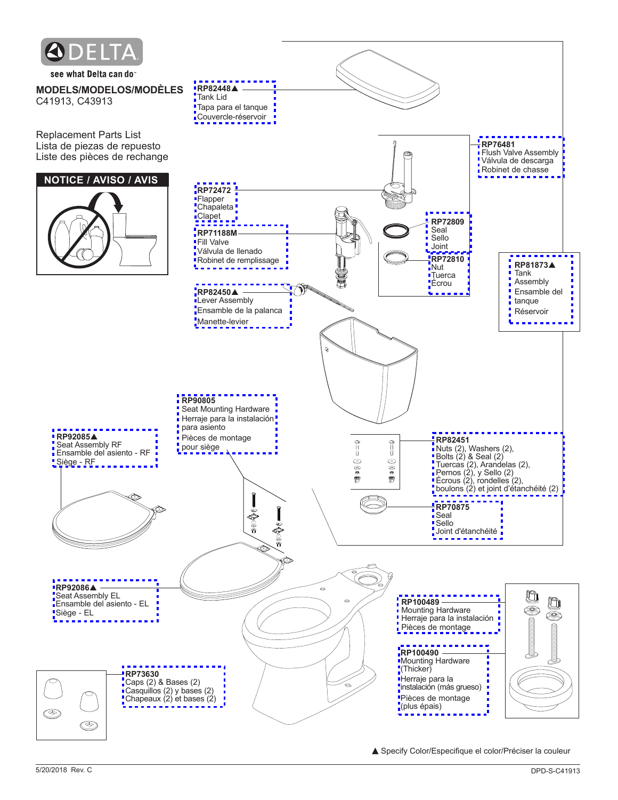

see what Delta can do

**MODELS/MODELOS/MODÈLES** C41913, C43913

Replacement Parts List Lista de piezas de repuesto Liste des pièces de rechange

## **NOTICE / AVISO / AVIS**

**RP92085**p Seat Assembly RF [Ensamble del asiento - RF](http://www.deltafaucet.com/goto/product/RP92085?src=pd)

Siège - RF

**RP92086▲** Seat Assembly EL [Ensamble del asiento - EL](http://www.deltafaucet.com/goto/product/RP92086?src=pd)

Siège - EL



▲ Specify Color/Especifique el color/Préciser la couleur

(plus épais)

O.

S